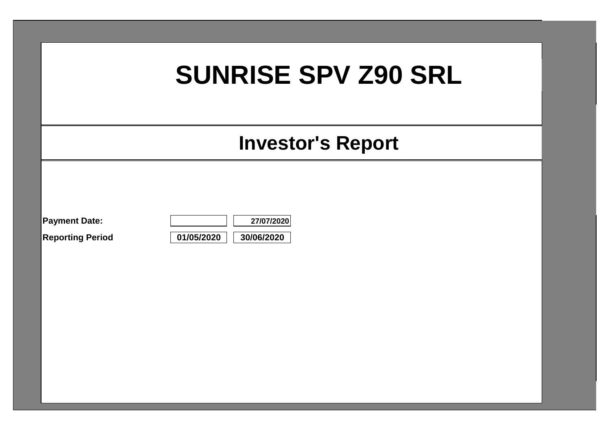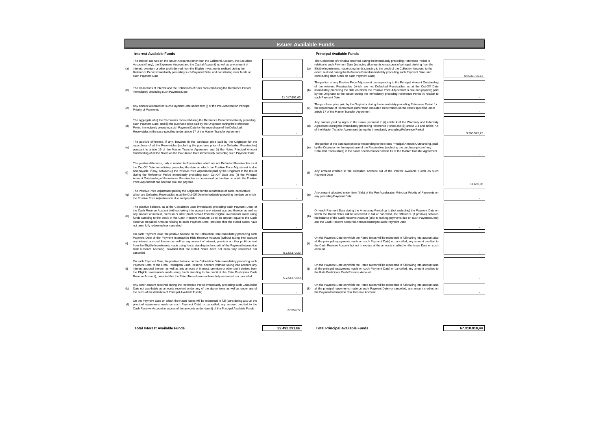|     |                                                                                                                                                                                                                                                                                                                                                                                                                                                                                                                                                           |               |     | <b>Issuer Available Funds</b>                                                                                                                                                                                                                                                                                                                                                                                                                       |               |
|-----|-----------------------------------------------------------------------------------------------------------------------------------------------------------------------------------------------------------------------------------------------------------------------------------------------------------------------------------------------------------------------------------------------------------------------------------------------------------------------------------------------------------------------------------------------------------|---------------|-----|-----------------------------------------------------------------------------------------------------------------------------------------------------------------------------------------------------------------------------------------------------------------------------------------------------------------------------------------------------------------------------------------------------------------------------------------------------|---------------|
|     | <b>Interest Available Funds</b>                                                                                                                                                                                                                                                                                                                                                                                                                                                                                                                           |               |     | <b>Principal Available Funds</b>                                                                                                                                                                                                                                                                                                                                                                                                                    |               |
|     | The interest accrued on the Issuer Accounts (other than the Collateral Account, the Securities<br>Account (if any), the Expenses Account and the Capital Account) as well as any amount of<br>interest, premium or other profit derived from the Eligible Investments realised during the<br>Reference Period immediately preceding such Payment Date, and constituting clear funds on<br>such Payment Date                                                                                                                                               |               |     | The Collections of Principal received during the immediately preceding Reference Period in<br>relation to such Payment Date (including all amounts on account of principal deriving from the<br>Eligible Investments made using funds standing to the credit of the Collection Account, to the<br>(a)<br>extent realised during the Reference Period immediately preceding such Payment Date, and<br>constituting clear funds on such Payment Date) | 64.033.702,15 |
|     | The Collections of Interest and the Collections of Fees received during the Reference Period<br>immediately preceding such Payment Date                                                                                                                                                                                                                                                                                                                                                                                                                   | 11.017.691,63 |     | The portion of any Positive Price Adjustment corresponding to the Principal Amount Outstanding<br>of the relevant Receivables (which are not Defaulted Receivables as at the Cut-Off Date<br>(b)<br>immediately preceding the date on which the Positive Price Adjustment is due and payable) paid<br>by the Originator to the Issuer during the immediately preceding Reference Period in relation to<br>such Payment Date                         |               |
|     | Any amount allocated on such Payment Date under item (i) of the Pre-Acceleration Principal<br>Priority of Payments                                                                                                                                                                                                                                                                                                                                                                                                                                        |               |     | The purchase price paid by the Originator during the immediately preceding Reference Period for<br>(c)<br>the repurchase of Receivables (other than Defaulted Receivables) in the cases specified under<br>article 17 of the Master Transfer Agreement                                                                                                                                                                                              |               |
|     | The aggregate of (i) the Recoveries received during the Reference Period immediately preceding<br>such Payment Date; and (ii) the purchase price paid by the Originator during the Reference<br>Period immediately preceding such Payment Date for the repurchase of the Defaulted<br>Receivables in the case specified under article 17 of the Master Transfer Agreement                                                                                                                                                                                 |               |     | Any amount paid by Agos to the Issuer pursuant to (i) article 4 of the Warranty and Indemnity<br>(d)<br>Agreement during the immediately preceding Reference Period and (ii) article 3.4 and article 7.4<br>of the Master Transfer Agreement during the immediately preceding Reference Period                                                                                                                                                      | 3.265.523.23  |
|     | The positive difference, if any, between (i) the purchase price paid by the Originator for the<br>repurchase of all the Receivables (excluding the purchase price of any Defaulted Receivables)<br>pursuant to article 16 of the Master Transfer Agreement and (ii) the Notes Principal Amount<br>Outstanding of all the Notes on the Calculation Date immediately preceding such Payment Date;                                                                                                                                                           |               |     | The portion of the purchase price corresponding to the Notes Principal Amount Outstanding, paid<br>(e)<br>by the Originator for the repurchase of the Receivables (excluding the purchase price of any<br>Defaulted Receivables) in the cases specified under article 16 of the Master Transfer Agreement                                                                                                                                           |               |
|     | The positive difference, only in relation to Receivables which are not Defaulted Receivables as at<br>the Cut-Off Date immediately preceding the date on which the Positive Price Adjustment is due<br>and payable, if any, between (i) the Positive Price Adjustment paid by the Originator to the Issuer<br>during the Reference Period immediately preceding such Cut-Off Date and (ii) the Principal<br>Amount Outstanding of the relevant Receivables as determined on the date on which the Positive<br>Price Adjustment has become due and payable |               | (f) | Any amount credited to the Defaulted Account out of the Interest Available Funds on such<br>Payment Date                                                                                                                                                                                                                                                                                                                                            | 11.685,06     |
|     | The Positive Price Adjustment paid by the Originator for the repurchase of such Receivables<br>which are Defaulted Receivables as at the Cut-Off Date immediately preceding the date on which<br>the Positive Price Adjustment is due and payable                                                                                                                                                                                                                                                                                                         |               |     | Any amount allocated under item (iii)(b) of the Pre-Acceleration Principal Priority of Payments on<br>(g)<br>any preceding Payment Date                                                                                                                                                                                                                                                                                                             |               |
|     | The positive balance, as at the Calculation Date immediately preceding such Payment Date, of<br>the Cash Reserve Account (without taking into account any interest accrued thereon as well as<br>any amount of interest, premium or other profit derived from the Eligible Investments made using<br>funds standing to the credit of the Cash Reserve Account) up to an amount equal to the Cash<br>Reserve Required Amount relating to such Payment Date, provided that the Rated Notes have<br>not been fully redeemed nor cancelled                    |               |     | On each Payment Date during the Amortising Period up to (but excluding) the Payment Date on<br>which the Rated Notes will be redeemed in full or cancelled, the difference (if positive) between<br>(h)<br>the balance of the Cash Reserve Account (prior to making payments due on such Payment Date)<br>and the Cash Reserve Required Amount relating to such Payment Date                                                                        |               |
|     | On each Payment Date, the positive balance on the Calculation Date immediately preceding such<br>Payment Date of the Payment Interruption Risk Reserve Account (without taking into account<br>any interest accrued thereon as well as any amount of interest, premium or other profit derived<br>from the Eligible Investments made using funds standing to the credit of the Payment Interruption<br>Risk Reserve Account), provided that the Rated Notes have not been fully redeemed nor<br>cancelled                                                 | 5.723.370,23  | (i) | On the Payment Date on which the Rated Notes will be redeemed in full (taking into account also<br>all the principal repayments made on such Payment Date) or cancelled, any amount credited to<br>the Cash Reserve Account but not in excess of the amounts credited on the Issue Date on such<br>account                                                                                                                                          |               |
| (i) | On each Payment Date, the positive balance on the Calculation Date immediately preceding such<br>Payment Date of the Rata Posticipata Cash Reserve Account (without taking into account any<br>interest accrued thereon as well as any amount of interest, premium or other profit derived from<br>the Eligible Investments made using funds standing to the credit of the Rata Posticipata Cash<br>Reserve Account), provided that the Rated Notes have not been fully redeemed nor cancelled                                                            | 5.723.370,23  | (i) | On the Payment Date on which the Rated Notes will be redeemed in full (taking into account also<br>all the principal repayments made on such Payment Date) or cancelled, any amount credited to<br>the Rata Posticipata Cash Reserve Account                                                                                                                                                                                                        |               |
| (k) | Any other amount received during the Reference Period immediately preceding such Calculation<br>Date not ascribable as amounts received under any of the above items as well as under any of<br>the items of the definition of Principal Available Funds:                                                                                                                                                                                                                                                                                                 |               |     | On the Payment Date on which the Rated Notes will be redeemed in full (taking into account also<br>all the principal repayments made on such Payment Date) or cancelled, any amount credited on<br>(k)<br>the Payment Interruption Risk Reserve Account                                                                                                                                                                                             |               |
|     | On the Payment Date on which the Rated Notes will be redeemed in full (considering also all the<br>principal repayments made on such Payment Date) or cancelled, any amount credited to the<br>Cash Reserve Account in excess of the amounts under item (i) of the Principal Available Funds                                                                                                                                                                                                                                                              | 27.859,77     |     |                                                                                                                                                                                                                                                                                                                                                                                                                                                     |               |
|     |                                                                                                                                                                                                                                                                                                                                                                                                                                                                                                                                                           |               |     |                                                                                                                                                                                                                                                                                                                                                                                                                                                     |               |

**Total Interest Available Funds Total Principal Available Funds 22.492.291,86 67.310.910,44**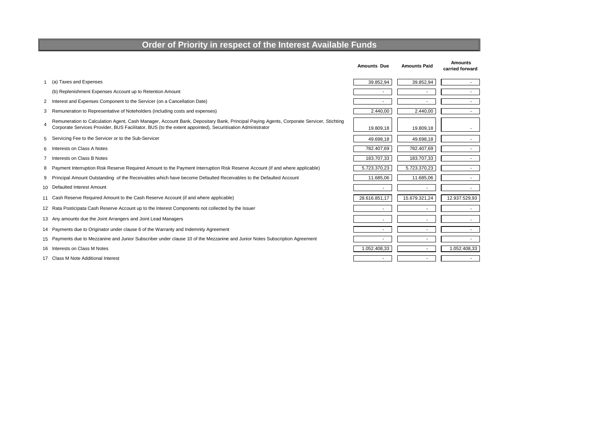### **Order of Priority in respect of the Interest Available Funds**

|                |                                                                                                                                                                                                                                                     | <b>Amounts Due</b>       | <b>Amounts Paid</b>      | <b>Amounts</b><br>carried forward |
|----------------|-----------------------------------------------------------------------------------------------------------------------------------------------------------------------------------------------------------------------------------------------------|--------------------------|--------------------------|-----------------------------------|
|                | (a) Taxes and Expenses                                                                                                                                                                                                                              | 39.852,94                | 39.852,94                | $\sim$                            |
|                | (b) Replenishment Expenses Account up to Retention Amount                                                                                                                                                                                           | $\overline{\phantom{a}}$ | $\overline{\phantom{a}}$ | $\sim$                            |
| $\overline{2}$ | Interest and Expenses Component to the Servicer (on a Cancellation Date)                                                                                                                                                                            |                          |                          | $\sim$                            |
| 3              | Remuneration to Representative of Noteholders (including costs and expenses)                                                                                                                                                                        | 2.440,00                 | 2.440,00                 | $\sim$                            |
| 4              | Remuneration to Calculation Agent, Cash Manager, Account Bank, Depositary Bank, Principal Paying Agents, Corporate Servicer, Stichting<br>Corporate Services Provider, BUS Facilitator, BUS (to the extent appointed), Securitisation Administrator | 19.809,18                | 19.809,18                |                                   |
| 5              | Servicing Fee to the Servicer or to the Sub-Servicer                                                                                                                                                                                                | 49.698,18                | 49.698,18                |                                   |
| 6              | Interests on Class A Notes                                                                                                                                                                                                                          | 782.407,69               | 782.407,69               | $\sim$                            |
|                | Interests on Class B Notes                                                                                                                                                                                                                          | 183.707,33               | 183.707,33               | $\sim$                            |
| 8              | Payment Interruption Risk Reserve Required Amount to the Payment Interruption Risk Reserve Account (if and where applicable)                                                                                                                        | 5.723.370,23             | 5.723.370,23             | $\sim$                            |
| 9              | Principal Amount Outstanding of the Receivables which have become Defaulted Receivables to the Defaulted Account                                                                                                                                    | 11.685,06                | 11.685,06                | $\sim$                            |
|                | 10 Defaulted Interest Amount                                                                                                                                                                                                                        |                          |                          |                                   |
|                | 11 Cash Reserve Required Amount to the Cash Reserve Account (if and where applicable)                                                                                                                                                               | 28.616.851,17            | 15.679.321,24            | 12.937.529,93                     |
|                | 12 Rata Posticipata Cash Reserve Account up to the Interest Components not collected by the Issuer                                                                                                                                                  |                          |                          |                                   |
|                | 13 Any amounts due the Joint Arrangers and Joint Lead Managers                                                                                                                                                                                      |                          |                          |                                   |
|                | 14 Payments due to Originator under clause 6 of the Warranty and Indemnity Agreement                                                                                                                                                                | $\overline{\phantom{a}}$ |                          | $\sim$                            |
|                | 15 Payments due to Mezzanine and Junior Subscriber under clause 10 of the Mezzanine and Junior Notes Subscription Agreement                                                                                                                         | $\overline{\phantom{a}}$ |                          | $\sim$                            |
|                | 16 Interests on Class M Notes                                                                                                                                                                                                                       | 1.052.408.33             |                          | 1.052.408.33                      |
|                | 17 Class M Note Additional Interest                                                                                                                                                                                                                 | $\overline{\phantom{a}}$ |                          |                                   |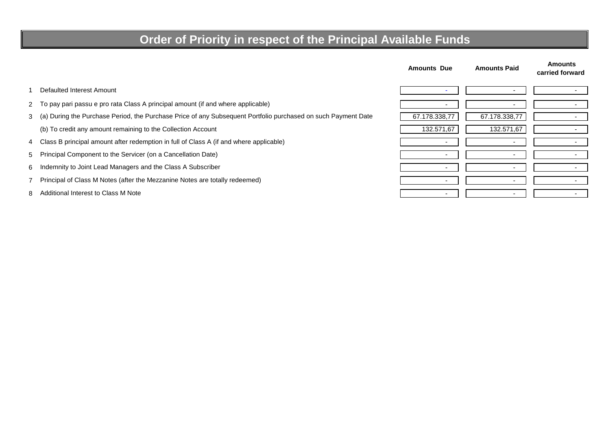# **Order of Priority in respect of the Principal Available Funds**

|   |                                                                                                               | <b>Amounts Due</b> | <b>Amounts Paid</b> | <b>Amounts</b><br>carried forward |
|---|---------------------------------------------------------------------------------------------------------------|--------------------|---------------------|-----------------------------------|
|   | Defaulted Interest Amount                                                                                     |                    |                     |                                   |
|   | 2 To pay pari passu e pro rata Class A principal amount (if and where applicable)                             |                    |                     |                                   |
| 3 | (a) During the Purchase Period, the Purchase Price of any Subsequent Portfolio purchased on such Payment Date | 67.178.338,77      | 67.178.338,77       |                                   |
|   | (b) To credit any amount remaining to the Collection Account                                                  | 132.571,67         | 132.571,67          |                                   |
|   | 4 Class B principal amount after redemption in full of Class A (if and where applicable)                      |                    |                     |                                   |
|   | 5 Principal Component to the Servicer (on a Cancellation Date)                                                |                    |                     |                                   |
| 6 | Indemnity to Joint Lead Managers and the Class A Subscriber                                                   |                    |                     |                                   |
|   | Principal of Class M Notes (after the Mezzanine Notes are totally redeemed)                                   |                    |                     |                                   |
| 8 | Additional Interest to Class M Note                                                                           |                    |                     |                                   |

8 -Additional Interest to Class M Note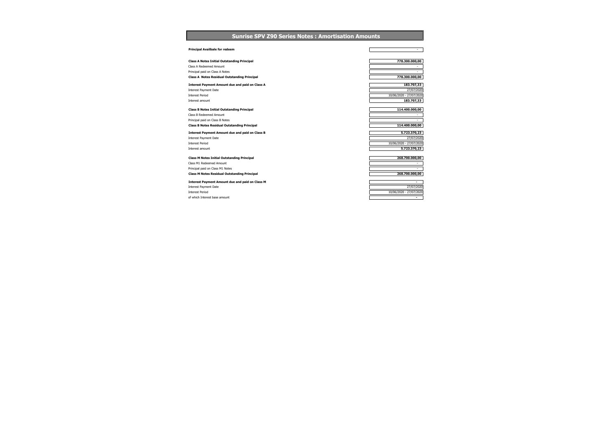**Sunrise SPV Z90 Series Notes : Amortisation Amounts** 

| <b>Principal Availbale for redeem</b>                                                   | ٠                                                   |
|-----------------------------------------------------------------------------------------|-----------------------------------------------------|
| <b>Class A Notes Initial Outstanding Principal</b>                                      | 778.300.000,00                                      |
| Class A Redeemed Amount                                                                 | $\overline{\phantom{a}}$                            |
| Principal paid on Class A Notes                                                         | ٠                                                   |
| <b>Class A Notes Residual Outstanding Principal</b>                                     | 778.300.000,00                                      |
| <b>Interest Payment Amount due and paid on Class A</b>                                  | 183.707,33                                          |
| <b>Interest Payment Date</b>                                                            | 27/07/2020                                          |
| <b>Interest Period</b>                                                                  | 10/06/2020 - 27/07/2020                             |
| Interest amount                                                                         | 183.707,33                                          |
| <b>Class B Notes Initial Outstanding Principal</b>                                      | 114.400.000.00                                      |
| Class B Redeemed Amount                                                                 | ٠                                                   |
| Principal paid on Class B Notes                                                         | $\sim$                                              |
|                                                                                         |                                                     |
| <b>Class B Notes Residual Outstanding Principal</b>                                     | 114.400.000,00                                      |
|                                                                                         |                                                     |
| <b>Interest Payment Amount due and paid on Class B</b>                                  | 5.723.370,23                                        |
| <b>Interest Payment Date</b><br><b>Interest Period</b>                                  | 27/07/2020<br>10/06/2020 - 27/07/2020               |
| Interest amount                                                                         | 5.723.370,23                                        |
|                                                                                         |                                                     |
| <b>Class M Notes Initial Outstanding Principal</b>                                      | 268.700.000,00<br>$\overline{\phantom{a}}$          |
| Class M1 Redeemed Amount                                                                |                                                     |
| Principal paid on Class M1 Notes<br><b>Class M Notes Residual Outstanding Principal</b> | 268.700.000,00                                      |
|                                                                                         |                                                     |
| <b>Interest Payment Amount due and paid on Class M</b>                                  | $\blacksquare$                                      |
| <b>Interest Payment Date</b>                                                            | 27/07/2020                                          |
| <b>Interest Period</b><br>of which Interest hase amount                                 | 10/06/2020 - 27/07/2020<br>$\overline{\phantom{a}}$ |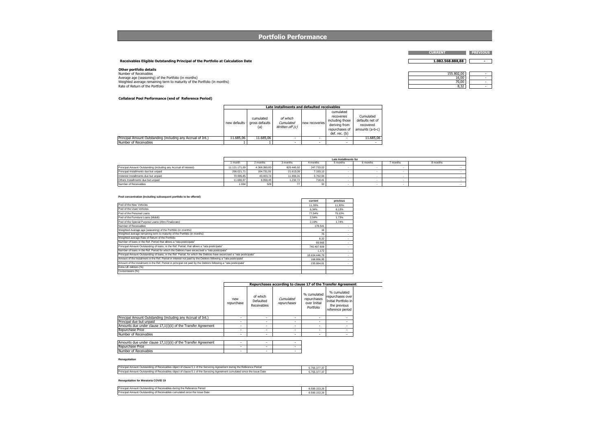**Portfolio Performance** 

**Receivables Eligible Outstanding Principal of the Portfolio at Calculation Date1.082.568.888,88 -**

**Other portfolio details**<br>Average age (seasoning) of the Portfolio (in months)<br>Weighted average remaining term to maturity of the Portfolio (in months)<br>Weighted average remaining term to maturity of the Portfolio (in month

| $\cdot$ – –                       |  |
|-----------------------------------|--|
| $\sim$ 00<br>10.U                 |  |
| $\overline{\phantom{a}}$<br>∕∪.∪∪ |  |
| --<br>ັ້                          |  |

**CURRENT PREVIOUS**

#### **Collateral Pool Performance (end of Reference Period)**

|                                                              |              |                                    | Late installments and defaulted receivables |                |                                                                                                |                                                              |
|--------------------------------------------------------------|--------------|------------------------------------|---------------------------------------------|----------------|------------------------------------------------------------------------------------------------|--------------------------------------------------------------|
|                                                              | new defaults | cumulated<br>gross defaults<br>(a) | of which<br>Cumulated<br>Written off (c)    | new recoveries | cumulated<br>recoveries<br>including those<br>deriving from<br>repurchases of<br>def. rec. (b) | Cumulated<br>defaults net of<br>recovered<br>amounts (a-b-c) |
| Principal Amount Outstanding (including any Accrual of Int.) | 11.685.06    | 11.685.06                          |                                             |                |                                                                                                | 11.685.06                                                    |
| Number of Receivables                                        |              |                                    |                                             |                |                                                                                                |                                                              |

|                                                                  |               | Late Installments for |            |            |          |          |          |          |  |  |
|------------------------------------------------------------------|---------------|-----------------------|------------|------------|----------|----------|----------|----------|--|--|
|                                                                  | 1 month       | 2 months              | 3 months   | 4 months   | 5 months | 6 months | 7 months | 8 months |  |  |
| Principal Amount Outstanding (including any Accrual of Interest) | 11.121.171.09 | 4.368.369.83          | 829.440.92 | 247.733.02 |          |          |          |          |  |  |
| Principal Installments due but unpaid                            | 206.021.71    | 104.731.91            | 21.613.09  | 7.193.13   |          |          |          |          |  |  |
| Insterest Installments due but unpaid                            | 70.996.85     | 43.403.74             | 11.906.01  | 3.762.94   |          |          |          |          |  |  |
| Others Installments due but unpaid                               | 11.680.37     | 6.958.45              | 1.232.72   | 718.41     |          |          |          |          |  |  |
| Number of Receivables                                            | 1.934         | 528                   |            |            |          |          |          |          |  |  |

#### **Pool concentration (including subsequent portfolio to be offered)**

|                                                                                                                       | current       | previous                 |
|-----------------------------------------------------------------------------------------------------------------------|---------------|--------------------------|
| Pool of the New Vehicles                                                                                              | 11.39%        | 11.30%                   |
| Pool of the Used Vehicles                                                                                             | 6.34%         | 6.13%                    |
| Pool of the Personal Loans                                                                                            | 77.54%        | 79.10%                   |
| Pool of the Furniture Loans (Mobili)                                                                                  | 2.54%         | 1.73%                    |
| Pool of the Special Purpose Loans (Altro Finalizzato)                                                                 | 2.19%         | 1.74%                    |
| Number of Receivables                                                                                                 | 178,541       |                          |
| Weighted Average age (seasoning) of the Portfolio (in months)                                                         | 16            | ٠                        |
| Weighted average remaining term to maturity of the Portfolio (in months)                                              | 70            | $\sim$                   |
| Weighted average Rate of Return of the Portfolio                                                                      | 8.32          | $\overline{\phantom{a}}$ |
| Number of loans in the Ref. Period that allows a "rata posticipata"                                                   | 69.665        | ٠                        |
| Principal Amount Outstanding of loans, in the Ref. Period, that allows a "rata posticipata"                           | 740.497.609   | $\sim$                   |
| Number of loans in the Ref. Period for which the Debtors have excercised a "rata posticipata"                         | 1.172         | $\overline{\phantom{a}}$ |
| Principal Amount Outstanding of Ioans, in the Ref. Period, for which the Debtors have excercised a "rata posticipata" | 18.634.446.79 | $\overline{\phantom{a}}$ |
| Amount of the Instalment in the Ref. Period in interest not paid by the Debtors following a "rata posticipata"        | 168,896.95    | ٠                        |
| Amount of the Instalment in the Ref. Period in principal not paid by the Debtors following a "rata posticipata"       | 230.884.81    |                          |
| Extra UE debtors (%)                                                                                                  |               |                          |
| Co-borrowers (%)                                                                                                      |               |                          |

|                                                                |                   | Repurchases according to clause 17 of the Transfer Agreement |                          |                                                         |                                                                                             |  |  |  |
|----------------------------------------------------------------|-------------------|--------------------------------------------------------------|--------------------------|---------------------------------------------------------|---------------------------------------------------------------------------------------------|--|--|--|
|                                                                | new<br>repurchase | of which<br>Defaulted<br>Receivables                         | Cumulated<br>repurchases | % cumulated<br>repurchases<br>over Initial<br>Portfolio | % cumulated<br>repurchases over<br>Initial Portfolio in<br>the previous<br>reference period |  |  |  |
| Principal Amount Outstanding (including any Accrual of Int.)   | ۰                 |                                                              |                          |                                                         |                                                                                             |  |  |  |
| Principal due but unpaid                                       | ۰                 |                                                              |                          |                                                         |                                                                                             |  |  |  |
| Amounts due under clause 17,1(i)(ii) of the Transfer Agreement | ۰                 | $\overline{\phantom{a}}$                                     | ٠                        | $\overline{\phantom{a}}$                                |                                                                                             |  |  |  |
| Repurchase Price                                               | ۰                 |                                                              |                          |                                                         | ۰                                                                                           |  |  |  |
| Number of Receivables                                          | ۰                 | ٠                                                            | ٠                        | ۰                                                       | ۰                                                                                           |  |  |  |

| Repurchase Price      |  |
|-----------------------|--|
|                       |  |
| Number of Receivables |  |

#### **Renegotiation**

| Principal Amount Outstanding of Receivables object of clause 5.1 of the Servicing Agreement during the Reference Period    |  |
|----------------------------------------------------------------------------------------------------------------------------|--|
| Principal Amount Outstanding of Receivables object of clause 5.1 of the Servicing Agreement cumulated since the Issue Date |  |

#### **Renegotiation for Moratoria COVID 19**

| Princip<br>ie Refr<br>erence Period<br>l Amount Outstanding of<br><b>Y Receivables during the</b> | $\cdots$<br>0.500<br>50 153 Zb<br>נכים |  |
|---------------------------------------------------------------------------------------------------|----------------------------------------|--|
| Princip<br>f Receivables cumulated since the Issue Date<br>. Outstanding of<br>Amount             | $\cdots$<br>0.500<br>8.590.153.26      |  |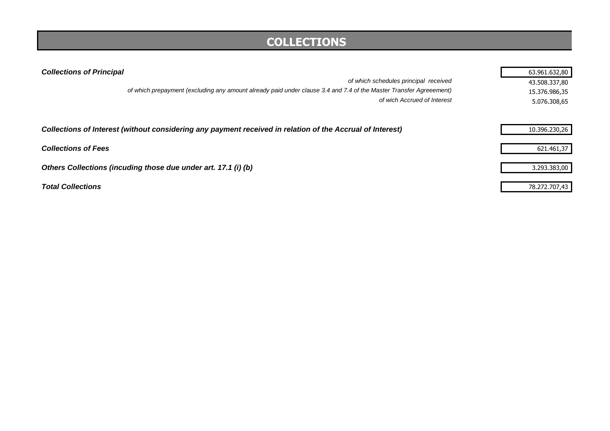# **COLLECTIONS**

| <b>Collections of Principal</b>                                                                                    | 63.961.632,80 |
|--------------------------------------------------------------------------------------------------------------------|---------------|
| of which schedules principal received                                                                              | 43.508.337,80 |
| of which prepayment (excluding any amount already paid under clause 3.4 and 7.4 of the Master Transfer Agreeement) | 15.376.986,35 |
| of wich Accrued of Interest                                                                                        | 5.076.308,65  |
| Collections of Interest (without considering any payment received in relation of the Accrual of Interest)          | 10.396.230,26 |
| <b>Collections of Fees</b>                                                                                         | 621.461,37    |
| Others Collections (incuding those due under art. 17.1 (i) (b)                                                     | 3.293.383,00  |
| <b>Total Collections</b>                                                                                           | 78.272.707,43 |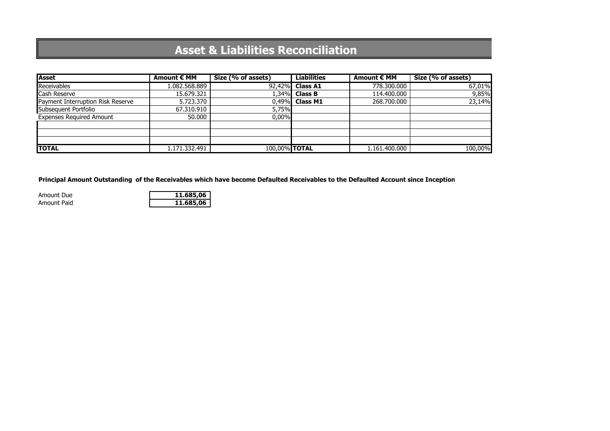# **Asset & Liabilities Reconciliation**

| Asset                             | Amount € MM   | Size (% of assets) | <b>Liabilities</b> | Amount € MM   | Size (% of assets) |
|-----------------------------------|---------------|--------------------|--------------------|---------------|--------------------|
| Receivables                       | 1.082.568.889 | 92,42%             | <b>Class A1</b>    | 778.300.000   | 67,01%             |
| Cash Reserve                      | 15.679.321    | 1,34%              | <b>Class B</b>     | 114,400,000   | 9,85%              |
| Payment Interruption Risk Reserve | 5.723.370     | 0.49%              | <b>Class M1</b>    | 268,700,000   | 23,14%             |
| Subsequent Portfolio              | 67.310.910    | 5,75%              |                    |               |                    |
| <b>Expenses Required Amount</b>   | 50,000        | 0,00%              |                    |               |                    |
|                                   |               |                    |                    |               |                    |
|                                   |               |                    |                    |               |                    |
|                                   |               |                    |                    |               |                    |
| <b>TOTAL</b>                      | 1.171.332.491 | 100,00% TOTAL      |                    | 1.161.400.000 | 100,00%            |

**Principal Amount Outstanding of the Receivables which have become Defaulted Receivables to the Defaulted Account since Inception**

Amount DueAmount Paid

| e | 11.685.06 |
|---|-----------|
| d | 11.685.06 |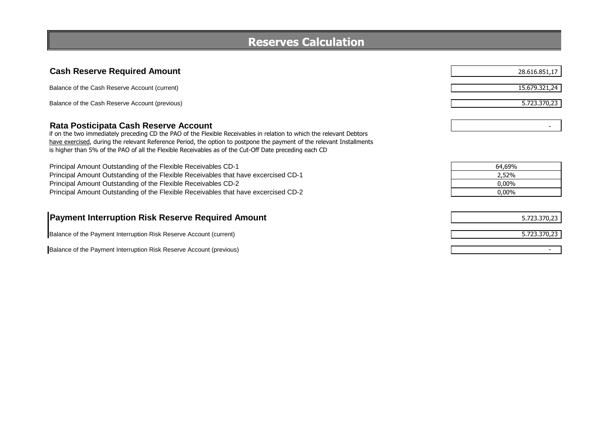| <b>Reserves Calculation</b> |  |
|-----------------------------|--|
|-----------------------------|--|

| <b>Reserves Calculation</b>                                                                                                                                                                                                                                                                                                                                                                     |                                         |  |
|-------------------------------------------------------------------------------------------------------------------------------------------------------------------------------------------------------------------------------------------------------------------------------------------------------------------------------------------------------------------------------------------------|-----------------------------------------|--|
|                                                                                                                                                                                                                                                                                                                                                                                                 |                                         |  |
| <b>Cash Reserve Required Amount</b>                                                                                                                                                                                                                                                                                                                                                             | 28.616.851,17                           |  |
| Balance of the Cash Reserve Account (current)                                                                                                                                                                                                                                                                                                                                                   | 15.679.321,24                           |  |
| Balance of the Cash Reserve Account (previous)                                                                                                                                                                                                                                                                                                                                                  | 5.723.370,23                            |  |
| Rata Posticipata Cash Reserve Account<br>if on the two immediately preceding CD the PAO of the Flexible Receivables in relation to which the relevant Debtors<br>have exercised, during the relevant Reference Period, the option to postpone the payment of the relevant Installments<br>is higher than 5% of the PAO of all the Flexible Receivables as of the Cut-Off Date preceding each CD |                                         |  |
| Principal Amount Outstanding of the Flexible Receivables CD-1<br>Principal Amount Outstanding of the Flexible Receivables that have excercised CD-1<br>Principal Amount Outstanding of the Flexible Receivables CD-2<br>Principal Amount Outstanding of the Flexible Receivables that have excercised CD-2                                                                                      | 64,69%<br>2,52%<br>$0.00\%$<br>$0.00\%$ |  |
| <b>Payment Interruption Risk Reserve Required Amount</b>                                                                                                                                                                                                                                                                                                                                        | 5.723.370,23                            |  |
| Balance of the Payment Interruption Risk Reserve Account (current)                                                                                                                                                                                                                                                                                                                              | 5.723.370,23                            |  |
| Balance of the Payment Interruption Risk Reserve Account (previous)                                                                                                                                                                                                                                                                                                                             |                                         |  |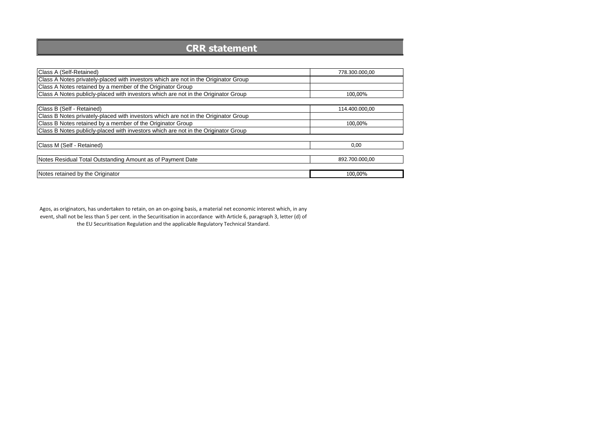### **CRR statement**

| Class A (Self-Retained)                                                             | 778.300.000,00 |
|-------------------------------------------------------------------------------------|----------------|
| Class A Notes privately-placed with investors which are not in the Originator Group |                |
| Class A Notes retained by a member of the Originator Group                          |                |
| Class A Notes publicly-placed with investors which are not in the Originator Group  | 100.00%        |
|                                                                                     |                |
| Class B (Self - Retained)                                                           | 114.400.000.00 |
| Class B Notes privately-placed with investors which are not in the Originator Group |                |
| Class B Notes retained by a member of the Originator Group                          | 100,00%        |
| Class B Notes publicly-placed with investors which are not in the Originator Group  |                |
|                                                                                     |                |
| Class M (Self - Retained)                                                           | 0,00           |
|                                                                                     |                |
| Notes Residual Total Outstanding Amount as of Payment Date                          | 892.700.000.00 |
|                                                                                     |                |
| Notes retained by the Originator                                                    | 100,00%        |

Agos, as originators, has undertaken to retain, on an on-going basis, a material net economic interest which, in any event, shall not be less than 5 per cent. in the Securitisation in accordance with Article 6, paragraph 3, letter (d) of the EU Securitisation Regulation and the applicable Regulatory Technical Standard.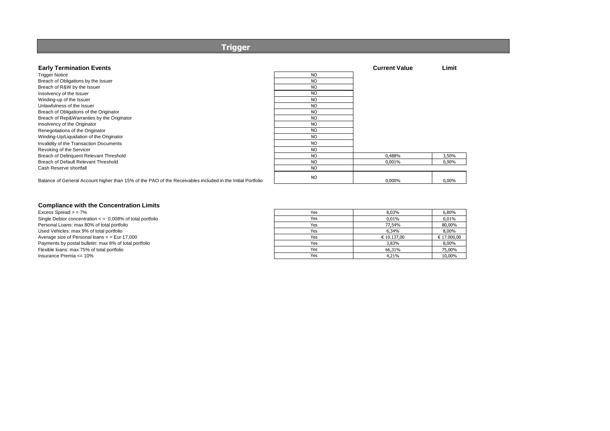### **Trigger**

| <b>Early Termination Events</b>                                                                            |           | <b>Current Value</b> | Limit    |
|------------------------------------------------------------------------------------------------------------|-----------|----------------------|----------|
| <b>Trigger Notice</b>                                                                                      | <b>NO</b> |                      |          |
| Breach of Obligations by the Issuer                                                                        | <b>NO</b> |                      |          |
| Breach of R&W by the Issuer                                                                                | <b>NO</b> |                      |          |
| Insolvency of the Issuer                                                                                   | <b>NO</b> |                      |          |
| Winding-up of the Issuer                                                                                   | <b>NO</b> |                      |          |
| Unlawfulness of the Issuer                                                                                 | <b>NO</b> |                      |          |
| Breach of Obligations of the Originator                                                                    | <b>NO</b> |                      |          |
| Breach of Rep&Warranties by the Originator                                                                 | <b>NO</b> |                      |          |
| Insolvency of the Originator                                                                               | <b>NO</b> |                      |          |
| Renegotiations of the Originator                                                                           | <b>NO</b> |                      |          |
| Winding-Up/Liquidation of the Originator                                                                   | <b>NO</b> |                      |          |
| Invalidity of the Transaction Documents                                                                    | <b>NO</b> |                      |          |
| Revoking of the Servicer                                                                                   | <b>NO</b> |                      |          |
| Breach of Delinquent Relevant Threshold                                                                    | <b>NO</b> | 0,488%               | 3,50%    |
| Breach of Default Relevant Threshold                                                                       | <b>NO</b> | 0,001%               | 0,90%    |
| Cash Reserve shortfall                                                                                     | <b>NO</b> |                      |          |
| Balance of General Account higher than 15% of the PAO of the Receivables included in the Initial Portfolio | <b>NO</b> | 0,000%               | $0,00\%$ |

### **Compliance with the Concentration Limits**

| Excess Spread > = 7%                                                | Yes | 8.03%       | 6,80%       |
|---------------------------------------------------------------------|-----|-------------|-------------|
| Single Debtor concentration $\epsilon = 0.008\%$ of total portfolio | Yes | 0,01%       | 0,01%       |
| Personal Loans: max 80% of total portfolio                          | Yes | 77.54%      | 80,00%      |
| Used Vehicles: max 9% of total portfolio                            | Yes | 6.34%       | 8.00%       |
| Average size of Personal loans < = Eur 17,000                       | Yes | € 10.137.00 | € 17.000,00 |
| Payments by postal bulletin: max 8% of total portfolio              | Yes | 3.83%       | 8.00%       |
| Flexible loans: max 75% of total portfolio                          | Yes | 66.31%      | 75,00%      |
| Insurance Premia <= 10%                                             | Yes | 4,21%       | 10,00%      |
|                                                                     |     |             |             |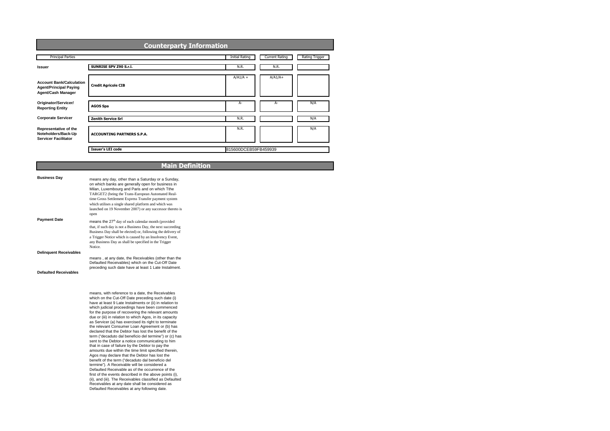| <b>Principal Parties</b>                                                               |                                   | <b>Initial Rating</b> | <b>Current Rating</b> | Rating Trigger |
|----------------------------------------------------------------------------------------|-----------------------------------|-----------------------|-----------------------|----------------|
| <b>Issuer</b>                                                                          | SUNRISE SPV Z90 S.r.l.            | N.R.                  | N.R.                  |                |
| <b>Account Bank/Calculation</b><br><b>Agent/Principal Paying</b><br>Agent/Cash Manager | <b>Credit Agricole CIB</b>        | $A/A1/A +$            | $A/A1/A+$             |                |
| Originator/Servicer/<br><b>Reporting Entity</b>                                        | <b>AGOS Spa</b>                   | $A-$                  | A-                    | N/A            |
| <b>Corporate Servicer</b>                                                              | <b>Zenith Service Srl</b>         | N.R.                  |                       | N/A            |
| Representative of the<br>Noteholders/Back-Up<br><b>Servicer Facilitator</b>            | <b>ACCOUNTING PARTNERS S.P.A.</b> | N.R.                  |                       | N/A            |
|                                                                                        | <b>Issuer's LEI code</b>          | 815600DCEB59FB459939  |                       |                |

### **Main Definition**

| <b>Business Day</b>           | means any day, other than a Saturday or a Sunday,<br>on which banks are generally open for business in<br>Milan, Luxembourg and Paris and on which Tthe<br>TARGET2 (being the Trans-European Automated Real-<br>time Gross Settlement Express Transfer payment system<br>which utilises a single shared platform and which was<br>launched on 19 November 2007) or any successor thereto is<br>open                                                                                                                                                                                                                                                                                                                                                                                                                                                                                                                                                                                                                                                                                                                                                               |
|-------------------------------|-------------------------------------------------------------------------------------------------------------------------------------------------------------------------------------------------------------------------------------------------------------------------------------------------------------------------------------------------------------------------------------------------------------------------------------------------------------------------------------------------------------------------------------------------------------------------------------------------------------------------------------------------------------------------------------------------------------------------------------------------------------------------------------------------------------------------------------------------------------------------------------------------------------------------------------------------------------------------------------------------------------------------------------------------------------------------------------------------------------------------------------------------------------------|
| <b>Payment Date</b>           | means the 27 <sup>th</sup> day of each calendar month (provided<br>that, if such day is not a Business Day, the next succeeding<br>Business Day shall be elected) or, following the delivery of<br>a Trigger Notice which is caused by an Insolvency Event,<br>any Business Day as shall be specified in the Trigger<br>Notice.                                                                                                                                                                                                                                                                                                                                                                                                                                                                                                                                                                                                                                                                                                                                                                                                                                   |
| <b>Delinquent Receivables</b> |                                                                                                                                                                                                                                                                                                                                                                                                                                                                                                                                                                                                                                                                                                                                                                                                                                                                                                                                                                                                                                                                                                                                                                   |
| <b>Defaulted Receivables</b>  | means, at any date, the Receivables (other than the<br>Defaulted Receivables) which on the Cut-Off Date<br>preceding such date have at least 1 Late Instalment.                                                                                                                                                                                                                                                                                                                                                                                                                                                                                                                                                                                                                                                                                                                                                                                                                                                                                                                                                                                                   |
|                               | means, with reference to a date, the Receivables<br>which on the Cut-Off Date preceding such date (i)<br>have at least 9 Late Instalments or (ii) in relation to<br>which judicial proceedings have been commenced<br>for the purpose of recovering the relevant amounts<br>due or (iii) in relation to which Agos, in its capacity<br>as Servicer (a) has exercised its right to terminate<br>the relevant Consumer Loan Agreement or (b) has<br>declared that the Debtor has lost the benefit of the<br>term ("decaduto dal beneficio del termine") or (c) has<br>sent to the Debtor a notice communicating to him<br>that in case of failure by the Debtor to pay the<br>amounts due within the time limit specified therein.<br>Agos may declare that the Debtor has lost the<br>benefit of the term ("decaduto dal beneficio del<br>termine"). A Receivable will be considered a<br>Defaulted Receivable as of the occurrence of the<br>first of the events described in the above points (i),<br>(ii), and (iii). The Receivables classified as Defaulted<br>Receivables at any date shall be considered as<br>Defaulted Receivables at any following date. |